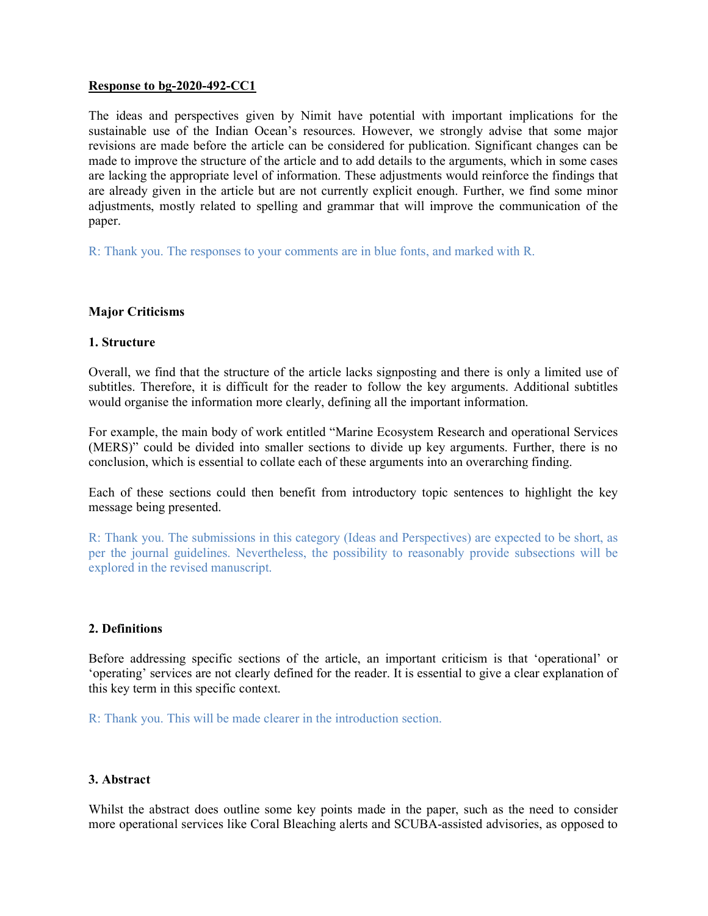# Response to bg-2020-492-CC1

The ideas and perspectives given by Nimit have potential with important implications for the sustainable use of the Indian Ocean's resources. However, we strongly advise that some major revisions are made before the article can be considered for publication. Significant changes can be made to improve the structure of the article and to add details to the arguments, which in some cases are lacking the appropriate level of information. These adjustments would reinforce the findings that are already given in the article but are not currently explicit enough. Further, we find some minor adjustments, mostly related to spelling and grammar that will improve the communication of the paper.

R: Thank you. The responses to your comments are in blue fonts, and marked with R.

# Major Criticisms

#### 1. Structure

Overall, we find that the structure of the article lacks signposting and there is only a limited use of subtitles. Therefore, it is difficult for the reader to follow the key arguments. Additional subtitles would organise the information more clearly, defining all the important information.

For example, the main body of work entitled "Marine Ecosystem Research and operational Services (MERS)" could be divided into smaller sections to divide up key arguments. Further, there is no conclusion, which is essential to collate each of these arguments into an overarching finding.

Each of these sections could then benefit from introductory topic sentences to highlight the key message being presented.

R: Thank you. The submissions in this category (Ideas and Perspectives) are expected to be short, as per the journal guidelines. Nevertheless, the possibility to reasonably provide subsections will be explored in the revised manuscript.

#### 2. Definitions

Before addressing specific sections of the article, an important criticism is that 'operational' or 'operating' services are not clearly defined for the reader. It is essential to give a clear explanation of this key term in this specific context.

R: Thank you. This will be made clearer in the introduction section.

# 3. Abstract

Whilst the abstract does outline some key points made in the paper, such as the need to consider more operational services like Coral Bleaching alerts and SCUBA-assisted advisories, as opposed to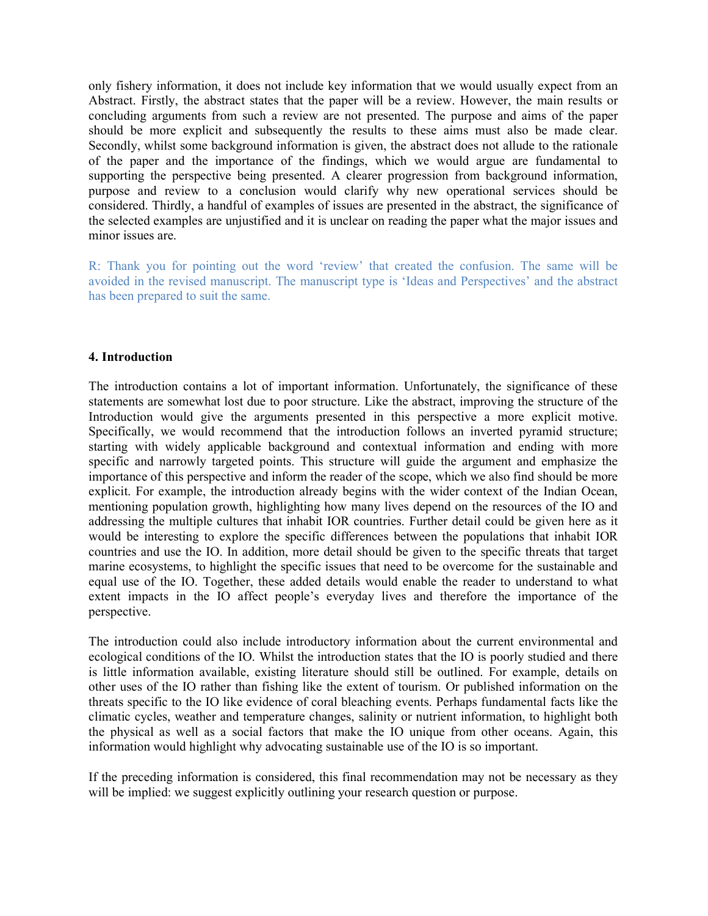only fishery information, it does not include key information that we would usually expect from an Abstract. Firstly, the abstract states that the paper will be a review. However, the main results or concluding arguments from such a review are not presented. The purpose and aims of the paper should be more explicit and subsequently the results to these aims must also be made clear. Secondly, whilst some background information is given, the abstract does not allude to the rationale of the paper and the importance of the findings, which we would argue are fundamental to supporting the perspective being presented. A clearer progression from background information, purpose and review to a conclusion would clarify why new operational services should be considered. Thirdly, a handful of examples of issues are presented in the abstract, the significance of the selected examples are unjustified and it is unclear on reading the paper what the major issues and minor issues are.

R: Thank you for pointing out the word 'review' that created the confusion. The same will be avoided in the revised manuscript. The manuscript type is 'Ideas and Perspectives' and the abstract has been prepared to suit the same.

#### 4. Introduction

The introduction contains a lot of important information. Unfortunately, the significance of these statements are somewhat lost due to poor structure. Like the abstract, improving the structure of the Introduction would give the arguments presented in this perspective a more explicit motive. Specifically, we would recommend that the introduction follows an inverted pyramid structure; starting with widely applicable background and contextual information and ending with more specific and narrowly targeted points. This structure will guide the argument and emphasize the importance of this perspective and inform the reader of the scope, which we also find should be more explicit. For example, the introduction already begins with the wider context of the Indian Ocean, mentioning population growth, highlighting how many lives depend on the resources of the IO and addressing the multiple cultures that inhabit IOR countries. Further detail could be given here as it would be interesting to explore the specific differences between the populations that inhabit IOR countries and use the IO. In addition, more detail should be given to the specific threats that target marine ecosystems, to highlight the specific issues that need to be overcome for the sustainable and equal use of the IO. Together, these added details would enable the reader to understand to what extent impacts in the IO affect people's everyday lives and therefore the importance of the perspective.

The introduction could also include introductory information about the current environmental and ecological conditions of the IO. Whilst the introduction states that the IO is poorly studied and there is little information available, existing literature should still be outlined. For example, details on other uses of the IO rather than fishing like the extent of tourism. Or published information on the threats specific to the IO like evidence of coral bleaching events. Perhaps fundamental facts like the climatic cycles, weather and temperature changes, salinity or nutrient information, to highlight both the physical as well as a social factors that make the IO unique from other oceans. Again, this information would highlight why advocating sustainable use of the IO is so important.

If the preceding information is considered, this final recommendation may not be necessary as they will be implied: we suggest explicitly outlining your research question or purpose.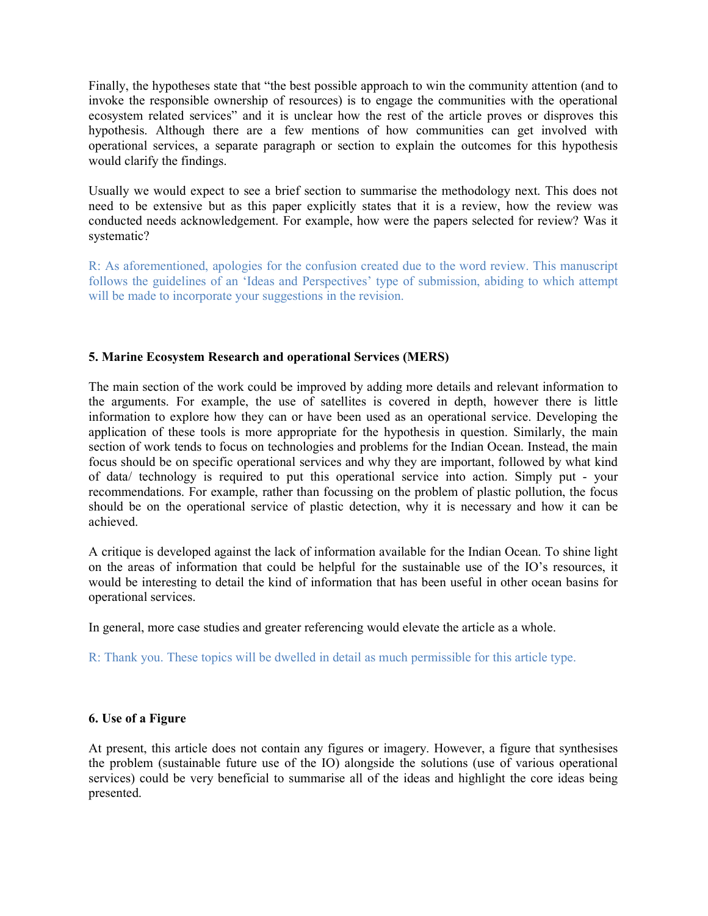Finally, the hypotheses state that "the best possible approach to win the community attention (and to invoke the responsible ownership of resources) is to engage the communities with the operational ecosystem related services" and it is unclear how the rest of the article proves or disproves this hypothesis. Although there are a few mentions of how communities can get involved with operational services, a separate paragraph or section to explain the outcomes for this hypothesis would clarify the findings.

Usually we would expect to see a brief section to summarise the methodology next. This does not need to be extensive but as this paper explicitly states that it is a review, how the review was conducted needs acknowledgement. For example, how were the papers selected for review? Was it systematic?

R: As aforementioned, apologies for the confusion created due to the word review. This manuscript follows the guidelines of an 'Ideas and Perspectives' type of submission, abiding to which attempt will be made to incorporate your suggestions in the revision.

# 5. Marine Ecosystem Research and operational Services (MERS)

The main section of the work could be improved by adding more details and relevant information to the arguments. For example, the use of satellites is covered in depth, however there is little information to explore how they can or have been used as an operational service. Developing the application of these tools is more appropriate for the hypothesis in question. Similarly, the main section of work tends to focus on technologies and problems for the Indian Ocean. Instead, the main focus should be on specific operational services and why they are important, followed by what kind of data/ technology is required to put this operational service into action. Simply put - your recommendations. For example, rather than focussing on the problem of plastic pollution, the focus should be on the operational service of plastic detection, why it is necessary and how it can be achieved.

A critique is developed against the lack of information available for the Indian Ocean. To shine light on the areas of information that could be helpful for the sustainable use of the IO's resources, it would be interesting to detail the kind of information that has been useful in other ocean basins for operational services.

In general, more case studies and greater referencing would elevate the article as a whole.

R: Thank you. These topics will be dwelled in detail as much permissible for this article type.

#### 6. Use of a Figure

At present, this article does not contain any figures or imagery. However, a figure that synthesises the problem (sustainable future use of the IO) alongside the solutions (use of various operational services) could be very beneficial to summarise all of the ideas and highlight the core ideas being presented.